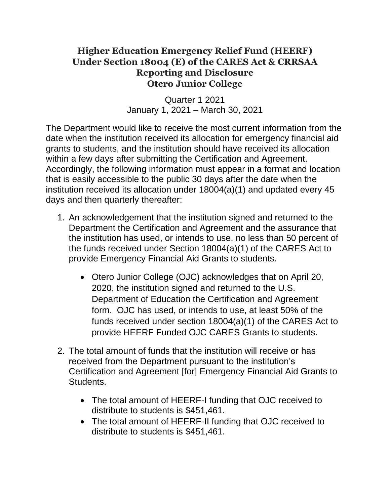## **Higher Education Emergency Relief Fund (HEERF) Under Section 18004 (E) of the CARES Act & CRRSAA Reporting and Disclosure Otero Junior College**

Quarter 1 2021 January 1, 2021 – March 30, 2021

The Department would like to receive the most current information from the date when the institution received its allocation for emergency financial aid grants to students, and the institution should have received its allocation within a few days after submitting the Certification and Agreement. Accordingly, the following information must appear in a format and location that is easily accessible to the public 30 days after the date when the institution received its allocation under 18004(a)(1) and updated every 45 days and then quarterly thereafter:

- 1. An acknowledgement that the institution signed and returned to the Department the Certification and Agreement and the assurance that the institution has used, or intends to use, no less than 50 percent of the funds received under Section 18004(a)(1) of the CARES Act to provide Emergency Financial Aid Grants to students.
	- Otero Junior College (OJC) acknowledges that on April 20, 2020, the institution signed and returned to the U.S. Department of Education the Certification and Agreement form. OJC has used, or intends to use, at least 50% of the funds received under section 18004(a)(1) of the CARES Act to provide HEERF Funded OJC CARES Grants to students.
- 2. The total amount of funds that the institution will receive or has received from the Department pursuant to the institution's Certification and Agreement [for] Emergency Financial Aid Grants to Students.
	- The total amount of HEERF-I funding that OJC received to distribute to students is \$451,461.
	- The total amount of HEERF-II funding that OJC received to distribute to students is \$451,461.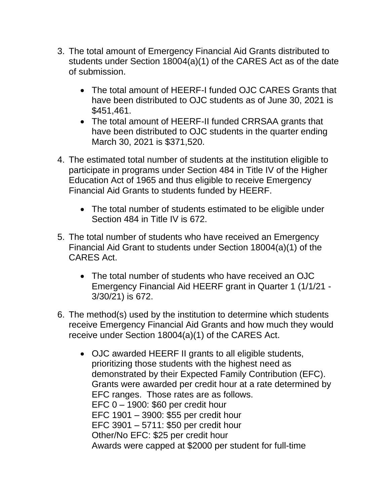- 3. The total amount of Emergency Financial Aid Grants distributed to students under Section 18004(a)(1) of the CARES Act as of the date of submission.
	- The total amount of HEERF-I funded OJC CARES Grants that have been distributed to OJC students as of June 30, 2021 is \$451,461.
	- The total amount of HEERF-II funded CRRSAA grants that have been distributed to OJC students in the quarter ending March 30, 2021 is \$371,520.
- 4. The estimated total number of students at the institution eligible to participate in programs under Section 484 in Title IV of the Higher Education Act of 1965 and thus eligible to receive Emergency Financial Aid Grants to students funded by HEERF.
	- The total number of students estimated to be eligible under Section 484 in Title IV is 672.
- 5. The total number of students who have received an Emergency Financial Aid Grant to students under Section 18004(a)(1) of the CARES Act.
	- The total number of students who have received an OJC Emergency Financial Aid HEERF grant in Quarter 1 (1/1/21 - 3/30/21) is 672.
- 6. The method(s) used by the institution to determine which students receive Emergency Financial Aid Grants and how much they would receive under Section 18004(a)(1) of the CARES Act.
	- OJC awarded HEERF II grants to all eligible students, prioritizing those students with the highest need as demonstrated by their Expected Family Contribution (EFC). Grants were awarded per credit hour at a rate determined by EFC ranges. Those rates are as follows. EFC 0 – 1900: \$60 per credit hour EFC 1901 – 3900: \$55 per credit hour EFC 3901 – 5711: \$50 per credit hour Other/No EFC: \$25 per credit hour Awards were capped at \$2000 per student for full-time